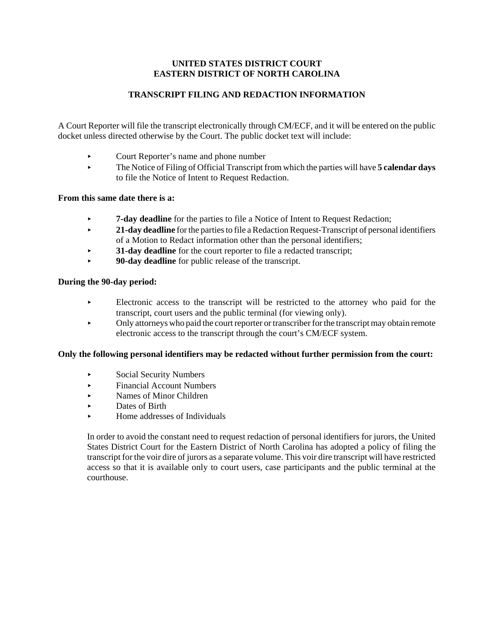# **UNITED STATES DISTRICT COURT EASTERN DISTRICT OF NORTH CAROLINA**

# **TRANSCRIPT FILING AND REDACTION INFORMATION**

A Court Reporter will file the transcript electronically through CM/ECF, and it will be entered on the public docket unless directed otherwise by the Court. The public docket text will include:

- < Court Reporter's name and phone number
- < The Notice of Filing of Official Transcript from which the parties will have **5 calendar days** to file the Notice of Intent to Request Redaction.

# **From this same date there is a:**

- 
- **21-day deadline** for the parties to file a Redaction Request-Transcript of personal identifiers of a Motion to Redact information other than the personal identifiers;
- < **31-day deadline** for the court reporter to file a redacted transcript;
- < **90-day deadline** for public release of the transcript.

# **During the 90-day period:**

- Electronic access to the transcript will be restricted to the attorney who paid for the transcript, court users and the public terminal (for viewing only).
- $\blacktriangleright$  Only attorneys who paid the court reporter or transcriber for the transcript may obtain remote electronic access to the transcript through the court's CM/ECF system.

# **Only the following personal identifiers may be redacted without further permission from the court:**

- < Social Security Numbers
- < Financial Account Numbers
- < Names of Minor Children
- Dates of Birth
- < Home addresses of Individuals

In order to avoid the constant need to request redaction of personal identifiers for jurors, the United States District Court for the Eastern District of North Carolina has adopted a policy of filing the transcript for the voir dire of jurors as a separate volume. This voir dire transcript will have restricted access so that it is available only to court users, case participants and the public terminal at the courthouse.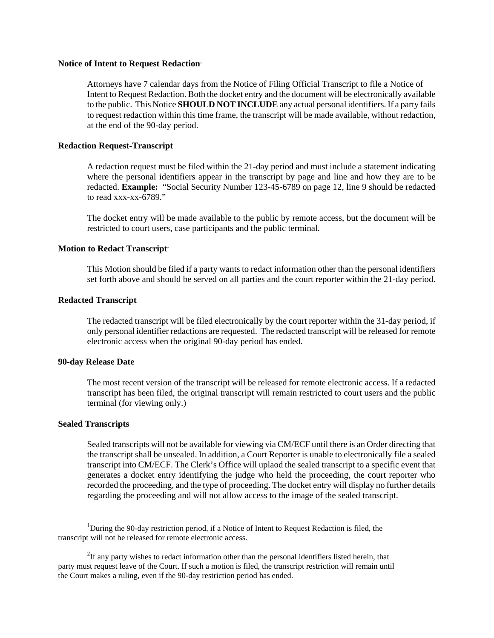### **Notice of Intent to Request Redaction**<sup>1</sup>

Attorneys have 7 calendar days from the Notice of Filing Official Transcript to file a Notice of Intent to Request Redaction. Both the docket entry and the document will be electronically available to the public. This Notice **SHOULD NOT INCLUDE** any actual personal identifiers. If a party fails to request redaction within this time frame, the transcript will be made available, without redaction, at the end of the 90-day period.

### **Redaction Request-Transcript**

A redaction request must be filed within the 21-day period and must include a statement indicating where the personal identifiers appear in the transcript by page and line and how they are to be redacted. **Example:** "Social Security Number 123-45-6789 on page 12, line 9 should be redacted to read xxx-xx-6789."

The docket entry will be made available to the public by remote access, but the document will be restricted to court users, case participants and the public terminal.

### **Motion to Redact Transcript**<sup>2</sup>

This Motion should be filed if a party wants to redact information other than the personal identifiers set forth above and should be served on all parties and the court reporter within the 21-day period.

### **Redacted Transcript**

The redacted transcript will be filed electronically by the court reporter within the 31-day period, if only personal identifier redactions are requested. The redacted transcript will be released for remote electronic access when the original 90-day period has ended.

### **90-day Release Date**

The most recent version of the transcript will be released for remote electronic access. If a redacted transcript has been filed, the original transcript will remain restricted to court users and the public terminal (for viewing only.)

### **Sealed Transcripts**

Sealed transcripts will not be available for viewing via CM/ECF until there is an Order directing that the transcript shall be unsealed. In addition, a Court Reporter is unable to electronically file a sealed transcript into CM/ECF. The Clerk's Office will uplaod the sealed transcript to a specific event that generates a docket entry identifying the judge who held the proceeding, the court reporter who recorded the proceeding, and the type of proceeding. The docket entry will display no further details regarding the proceeding and will not allow access to the image of the sealed transcript.

<sup>&</sup>lt;sup>1</sup>During the 90-day restriction period, if a Notice of Intent to Request Redaction is filed, the transcript will not be released for remote electronic access.

 $2$ If any party wishes to redact information other than the personal identifiers listed herein, that party must request leave of the Court. If such a motion is filed, the transcript restriction will remain until the Court makes a ruling, even if the 90-day restriction period has ended.